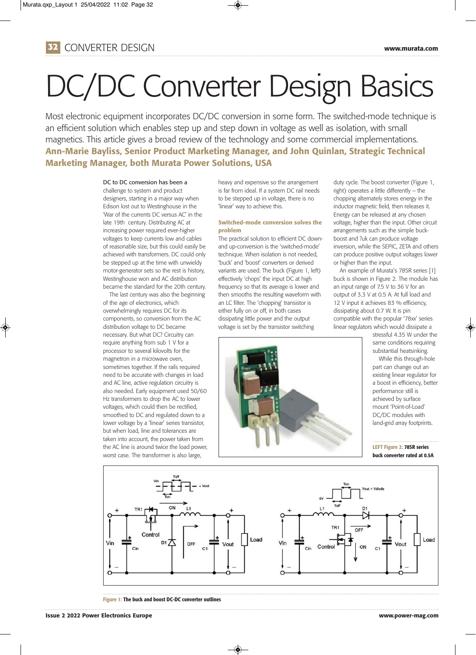

# DC/DC Converter Design Basics

Most electronic equipment incorporates DC/DC conversion in some form. The switched-mode technique is an efficient solution which enables step up and step down in voltage as well as isolation, with small magnetics. This article gives a broad review of the technology and some commercial implementations. **Ann-Marie Bayliss, Senior Product Marketing Manager, and John Quinlan, Strategic Technical Marketing Manager, both Murata Power Solutions, USA**

## DC to DC conversion has been a

challenge to system and product designers, starting in a major way when Edison lost out to Westinghouse in the 'War of the currents DC versus AC' in the late 19th century. Distributing AC at increasing power required ever-higher voltages to keep currents low and cables of reasonable size, but this could easily be achieved with transformers. DC could only be stepped up at the time with unwieldy motor-generator sets so the rest is history, Westinghouse won and AC distribution became the standard for the 20th century.

The last century was also the beginning of the age of electronics, which overwhelmingly requires DC for its components, so conversion from the AC distribution voltage to DC became necessary. But what DC? Circuitry can require anything from sub 1 V for a processor to several kilovolts for the magnetron in a microwave oven, sometimes together. If the rails required need to be accurate with changes in load and AC line, active regulation circuitry is also needed. Early equipment used 50/60 Hz transformers to drop the AC to lower voltages, which could then be rectified, smoothed to DC and regulated down to a lower voltage by a 'linear' series transistor, but when load, line and tolerances are taken into account, the power taken from the AC line is around twice the load power, worst case. The transformer is also large,

heavy and expensive so the arrangement is far from ideal. If a system DC rail needs to be stepped up in voltage, there is no 'linear' way to achieve this.

## **Switched-mode conversion solves the problem**

The practical solution to efficient DC downand up-conversion is the 'switched-mode' technique. When isolation is not needed, 'buck' and 'boost' converters or derived variants are used. The buck (Figure 1, left) effectively 'chops' the input DC at high frequency so that its average is lower and then smooths the resulting waveform with an LC filter. The 'chopping' transistor is either fully on or off, in both cases dissipating little power and the output voltage is set by the transistor switching

duty cycle. The boost converter (Figure 1, right) operates a little differently – the chopping alternately stores energy in the inductor magnetic field, then releases it. Energy can be released at any chosen voltage, higher than the input. Other circuit arrangements such as the simple buckboost and ?uk can produce voltage inversion, while the SEPIC, ZETA and others can produce positive output voltages lower or higher than the input.

An example of Murata's 78SR series [1] buck is shown in Figure 2. The module has an input range of 7.5 V to 36 V for an output of 3.3 V at 0.5 A. At full load and 12 V input it achieves 83 % efficiency, dissipating about 0.7 W. It is pin compatible with the popular '78xx' series linear regulators which would dissipate a

> stressful 4.35 W under the same conditions requiring substantial heatsinking.

While this through-hole part can change out an existing linear regulator for a boost in efficiency, better performance still is achieved by surface mount 'Point-of-Load' DC/DC modules with land-grid array footprints.

## **LEFT Figure 2: 78SR series buck converter rated at 0.5A**



◈

**Figure 1: The buck and boost DC-DC converter outlines**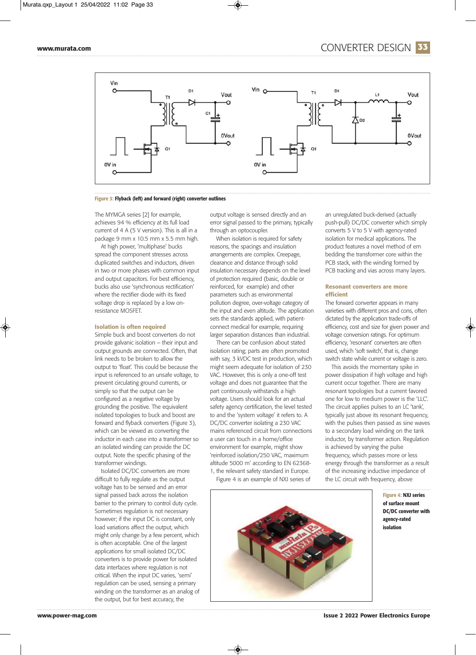

## **Figure 3: Flyback (left) and forward (right) converter outlines**

The MYMGA series [2] for example, achieves 94 % efficiency at its full load current of 4 A (5 V version). This is all in a package 9 mm x 10.5 mm x 5.5 mm high.

At high power, 'multiphase' bucks spread the component stresses across duplicated switches and inductors, driven in two or more phases with common input and output capacitors. For best efficiency, bucks also use 'synchronous rectification' where the rectifier diode with its fixed voltage drop is replaced by a low onresistance MOSFET.

## **Isolation is often required**

Simple buck and boost converters do not provide galvanic isolation – their input and output grounds are connected. Often, that link needs to be broken to allow the output to 'float'. This could be because the input is referenced to an unsafe voltage, to prevent circulating ground currents, or simply so that the output can be configured as a negative voltage by grounding the positive. The equivalent isolated topologies to buck and boost are forward and flyback converters (Figure 3), which can be viewed as converting the inductor in each case into a transformer so an isolated winding can provide the DC output. Note the specific phasing of the transformer windings.

Isolated DC/DC converters are more difficult to fully regulate as the output voltage has to be sensed and an error signal passed back across the isolation barrier to the primary to control duty cycle. Sometimes regulation is not necessary however; if the input DC is constant, only load variations affect the output, which might only change by a few percent, which is often acceptable. One of the largest applications for small isolated DC/DC converters is to provide power for isolated data interfaces where regulation is not critical. When the input DC varies, 'semi' regulation can be used, sensing a primary winding on the transformer as an analog of the output, but for best accuracy, the

output voltage is sensed directly and an error signal passed to the primary, typically through an optocoupler.

When isolation is required for safety reasons, the spacings and insulation arrangements are complex. Creepage, clearance and distance through solid insulation necessary depends on the level of protection required (basic, double or reinforced, for example) and other parameters such as environmental pollution degree, over-voltage category of the input and even altitude. The application sets the standards applied, with patientconnect medical for example, requiring larger separation distances than industrial.

There can be confusion about stated isolation rating; parts are often promoted with say, 3 kVDC test in production, which might seem adequate for isolation of 230 VAC. However, this is only a one-off test voltage and does not guarantee that the part continuously withstands a high voltage. Users should look for an actual safety agency certification, the level tested to and the 'system voltage' it refers to. A DC/DC converter isolating a 230 VAC mains referenced circuit from connections a user can touch in a home/office environment for example, might show 'reinforced isolation/250 VAC, maximum altitude 5000 m' according to EN 62368- 1, the relevant safety standard in Europe.

Figure 4 is an example of NXJ series of

◈

an unregulated buck-derived (actually push-pull) DC/DC converter which simply converts 5 V to 5 V with agency-rated isolation for medical applications. The product features a novel method of em bedding the transformer core within the PCB stack, with the winding formed by PCB tracking and vias across many layers.

## **Resonant converters are more efficient**

The forward converter appears in many varieties with different pros and cons, often dictated by the application trade-offs of efficiency, cost and size for given power and voltage conversion ratings. For optimum efficiency, 'resonant' converters are often used, which 'soft switch', that is, change switch state while current or voltage is zero.

This avoids the momentary spike in power dissipation if high voltage and high current occur together. There are many resonant topologies but a current favored one for low to medium power is the 'LLC'. The circuit applies pulses to an LC 'tank', typically just above its resonant frequency, with the pulses then passed as sine waves to a secondary load winding on the tank inductor, by transformer action. Regulation is achieved by varying the pulse frequency, which passes more or less energy through the transformer as a result of the increasing inductive impedance of the LC circuit with frequency, above



**Figure 4: NXJ series of surface mount DC/DC converter with agency-rated isolation**

**www.power-mag.com Issue 2 2022 Power Electronics Europe**